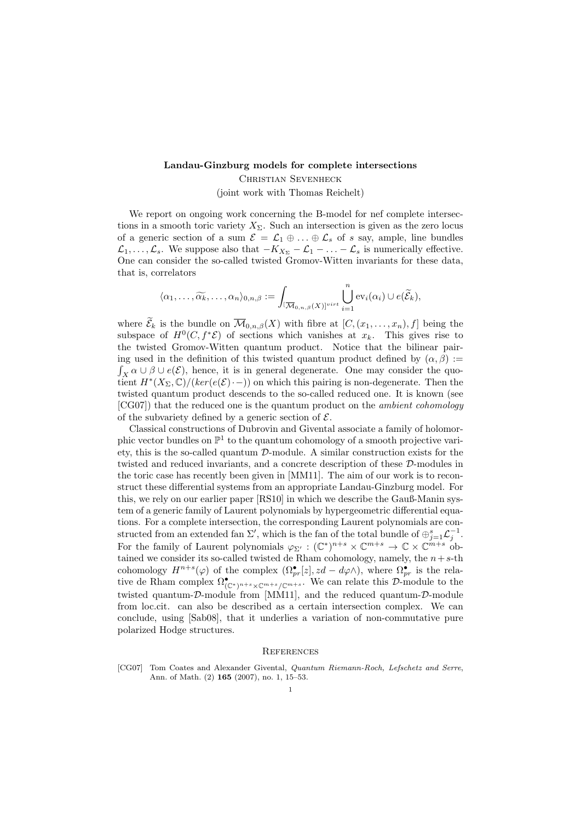## Landau-Ginzburg models for complete intersections

Christian Sevenheck

(joint work with Thomas Reichelt)

We report on ongoing work concerning the B-model for nef complete intersections in a smooth toric variety  $X_{\Sigma}$ . Such an intersection is given as the zero locus of a generic section of a sum  $\mathcal{E} = \mathcal{L}_1 \oplus \ldots \oplus \mathcal{L}_s$  of s say, ample, line bundles  $\mathcal{L}_1, \ldots, \mathcal{L}_s$ . We suppose also that  $-K_{X_{\Sigma}} - \mathcal{L}_1 - \ldots - \mathcal{L}_s$  is numerically effective. One can consider the so-called twisted Gromov-Witten invariants for these data, that is, correlators

$$
\langle \alpha_1,\ldots,\widetilde{\alpha_k},\ldots,\alpha_n \rangle_{0,n,\beta} := \int_{\{\overline{\mathcal{M}}_{0,n,\beta}(X)\}^{virt}} \bigcup_{i=1}^n \text{ev}_i(\alpha_i) \cup e(\widetilde{\mathcal{E}}_k),
$$

where  $\widetilde{\mathcal{E}}_k$  is the bundle on  $\overline{\mathcal{M}}_{0,n,\beta}(X)$  with fibre at  $[C,(x_1,\ldots,x_n),f]$  being the subspace of  $H^0(C, f^*\mathcal{E})$  of sections which vanishes at  $x_k$ . This gives rise to the twisted Gromov-Witten quantum product. Notice that the bilinear pairing used in the definition of this twisted quantum product defined by  $(\alpha, \beta)$  :=  $\int_X \alpha \cup \beta \cup e(\mathcal{E})$ , hence, it is in general degenerate. One may consider the quotient  $H^*(X_\Sigma,\mathbb{C})/(ker(e(\mathcal{E})\cdot -))$  on which this pairing is non-degenerate. Then the twisted quantum product descends to the so-called reduced one. It is known (see [CG07]) that the reduced one is the quantum product on the *ambient cohomology* of the subvariety defined by a generic section of  $\mathcal{E}$ .

Classical constructions of Dubrovin and Givental associate a family of holomorphic vector bundles on  $\mathbb{P}^1$  to the quantum cohomology of a smooth projective variety, this is the so-called quantum  $D$ -module. A similar construction exists for the twisted and reduced invariants, and a concrete description of these D-modules in the toric case has recently been given in [MM11]. The aim of our work is to reconstruct these differential systems from an appropriate Landau-Ginzburg model. For this, we rely on our earlier paper [RS10] in which we describe the Gauß-Manin system of a generic family of Laurent polynomials by hypergeometric differential equations. For a complete intersection, the corresponding Laurent polynomials are constructed from an extended fan  $\Sigma'$ , which is the fan of the total bundle of  $\oplus_{j=1}^s \mathcal{L}_j^{-1}$ . For the family of Laurent polynomials  $\varphi_{\Sigma'} : (\mathbb{C}^*)^{n+s} \times \mathbb{C}^{m+s} \to \mathbb{C} \times \mathbb{C}^{m+s}$  obtained we consider its so-called twisted de Rham cohomology, namely, the  $n+s-th$ cohomology  $H^{n+s}(\varphi)$  of the complex  $(\Omega_{pr}^{\bullet}[z], zd - d\varphi \wedge)$ , where  $\Omega_{pr}^{\bullet}$  is the relative de Rham complex  $\Omega_{(\mathbb{C}^*)^{n+s}\times\mathbb{C}^{m+s}/\mathbb{C}^{m+s}}^{\bullet}$ . We can relate this D-module to the twisted quantum-D-module from [MM11], and the reduced quantum-D-module from loc.cit. can also be described as a certain intersection complex. We can conclude, using [Sab08], that it underlies a variation of non-commutative pure polarized Hodge structures.

## **REFERENCES**

[CG07] Tom Coates and Alexander Givental, Quantum Riemann-Roch, Lefschetz and Serre, Ann. of Math. (2) 165 (2007), no. 1, 15–53.